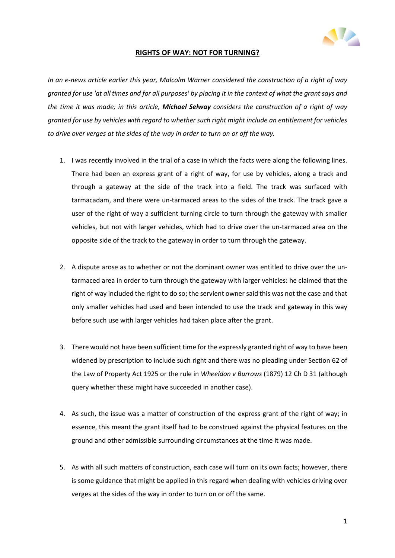

## **RIGHTS OF WAY: NOT FOR TURNING?**

*In an e-news article earlier this year, Malcolm Warner considered the construction of a right of way granted for use 'at all times and for all purposes' by placing it in the context of what the grant says and the time it was made; in this article, Michael Selway considers the construction of a right of way granted for use by vehicles with regard to whether such right might include an entitlement for vehicles to drive over verges at the sides of the way in order to turn on or off the way.* 

- 1. I was recently involved in the trial of a case in which the facts were along the following lines. There had been an express grant of a right of way, for use by vehicles, along a track and through a gateway at the side of the track into a field. The track was surfaced with tarmacadam, and there were un-tarmaced areas to the sides of the track. The track gave a user of the right of way a sufficient turning circle to turn through the gateway with smaller vehicles, but not with larger vehicles, which had to drive over the un-tarmaced area on the opposite side of the track to the gateway in order to turn through the gateway.
- 2. A dispute arose as to whether or not the dominant owner was entitled to drive over the untarmaced area in order to turn through the gateway with larger vehicles: he claimed that the right of way included the right to do so; the servient owner said this was not the case and that only smaller vehicles had used and been intended to use the track and gateway in this way before such use with larger vehicles had taken place after the grant.
- 3. There would not have been sufficient time for the expressly granted right of way to have been widened by prescription to include such right and there was no pleading under Section 62 of the Law of Property Act 1925 or the rule in *Wheeldon v Burrows* (1879) 12 Ch D 31 (although query whether these might have succeeded in another case).
- 4. As such, the issue was a matter of construction of the express grant of the right of way; in essence, this meant the grant itself had to be construed against the physical features on the ground and other admissible surrounding circumstances at the time it was made.
- 5. As with all such matters of construction, each case will turn on its own facts; however, there is some guidance that might be applied in this regard when dealing with vehicles driving over verges at the sides of the way in order to turn on or off the same.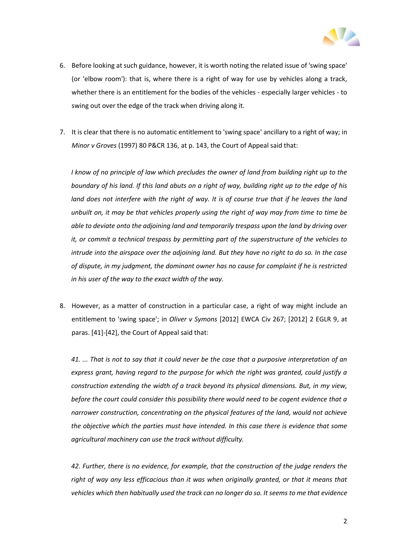

- 6. Before looking at such guidance, however, it is worth noting the related issue of 'swing space' (or 'elbow room'): that is, where there is a right of way for use by vehicles along a track, whether there is an entitlement for the bodies of the vehicles - especially larger vehicles - to swing out over the edge of the track when driving along it.
- 7. It is clear that there is no automatic entitlement to 'swing space' ancillary to a right of way; in *Minor v Groves* (1997) 80 P&CR 136, at p. 143, the Court of Appeal said that:

*I know of no principle of law which precludes the owner of land from building right up to the boundary of his land. If this land abuts on a right of way, building right up to the edge of his*  land does not interfere with the right of way. It is of course true that if he leaves the land *unbuilt on, it may be that vehicles properly using the right of way may from time to time be able to deviate onto the adjoining land and temporarily trespass upon the land by driving over it, or commit a technical trespass by permitting part of the superstructure of the vehicles to intrude into the airspace over the adjoining land. But they have no right to do so. In the case of dispute, in my judgment, the dominant owner has no cause for complaint if he is restricted in his user of the way to the exact width of the way.*

8. However, as a matter of construction in a particular case, a right of way might include an entitlement to 'swing space'; in *Oliver v Symons* [2012] EWCA Civ 267; [2012] 2 EGLR 9, at paras. [41]-[42], the Court of Appeal said that:

*41. ... That is not to say that it could never be the case that a purposive interpretation of an express grant, having regard to the purpose for which the right was granted, could justify a construction extending the width of a track beyond its physical dimensions. But, in my view, before the court could consider this possibility there would need to be cogent evidence that a narrower construction, concentrating on the physical features of the land, would not achieve the objective which the parties must have intended. In this case there is evidence that some agricultural machinery can use the track without difficulty.*

*42. Further, there is no evidence, for example, that the construction of the judge renders the right of way any less efficacious than it was when originally granted, or that it means that vehicles which then habitually used the track can no longer do so. It seems to me that evidence*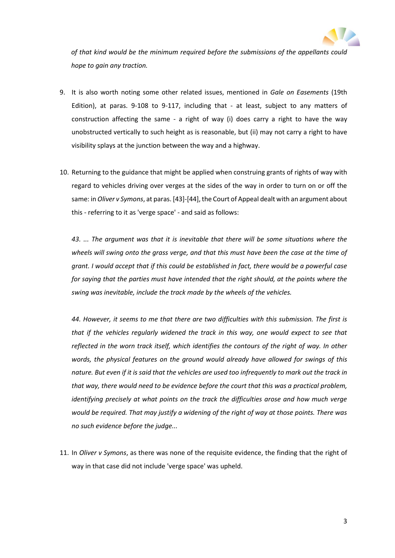

*of that kind would be the minimum required before the submissions of the appellants could hope to gain any traction.*

- 9. It is also worth noting some other related issues, mentioned in *Gale on Easements* (19th Edition), at paras. 9-108 to 9-117, including that - at least, subject to any matters of construction affecting the same - a right of way (i) does carry a right to have the way unobstructed vertically to such height as is reasonable, but (ii) may not carry a right to have visibility splays at the junction between the way and a highway.
- 10. Returning to the guidance that might be applied when construing grants of rights of way with regard to vehicles driving over verges at the sides of the way in order to turn on or off the same: in *Oliver v Symons*, at paras. [43]-[44], the Court of Appeal dealt with an argument about this - referring to it as 'verge space' - and said as follows:

*43. ... The argument was that it is inevitable that there will be some situations where the wheels will swing onto the grass verge, and that this must have been the case at the time of grant. I would accept that if this could be established in fact, there would be a powerful case for saying that the parties must have intended that the right should, at the points where the swing was inevitable, include the track made by the wheels of the vehicles.*

*44. However, it seems to me that there are two difficulties with this submission. The first is that if the vehicles regularly widened the track in this way, one would expect to see that reflected in the worn track itself, which identifies the contours of the right of way. In other words, the physical features on the ground would already have allowed for swings of this nature. But even if it is said that the vehicles are used too infrequently to mark out the track in that way, there would need to be evidence before the court that this was a practical problem, identifying precisely at what points on the track the difficulties arose and how much verge would be required. That may justify a widening of the right of way at those points. There was no such evidence before the judge...*

11. In *Oliver v Symons*, as there was none of the requisite evidence, the finding that the right of way in that case did not include 'verge space' was upheld.